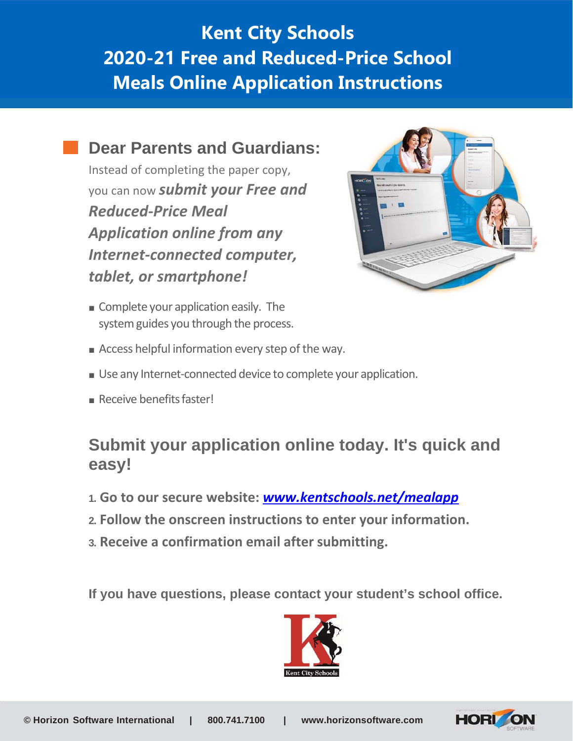# **Kent City Schools 2020-21 Free and Reduced-Price School Meals Online Application Instructions**

# **Dear Parents and Guardians:**

Instead of completing the paper copy, you can now *submit your Free and Reduced‐Price Meal Application online from any Internet‐connected computer, tablet, or smartphone!*



- Complete your application easily. The system guides you through the process.
- Access helpful information every step of the way.
- Use any Internet-connected device to complete your application.
- Receive benefits faster!

# **Submit your application online today. It's quick and easy!**

- **1. Go to our secure website:** *www.kentschools.net/mealapp*
- **2. Follow the onscreen instructions to enter your information.**
- **3. Receive a confirmation email after submitting.**

**If you have questions, please contact your student's school office.** 



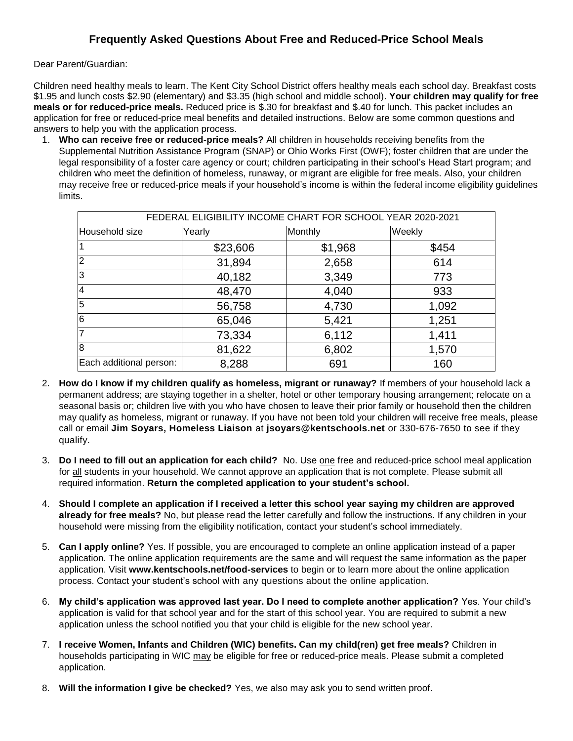### **Frequently Asked Questions About Free and Reduced-Price School Meals**

Dear Parent/Guardian:

Children need healthy meals to learn. The Kent City School District offers healthy meals each school day. Breakfast costs \$1.95 and lunch costs \$2.90 (elementary) and \$3.35 (high school and middle school). **Your children may qualify for free meals or for reduced-price meals.** Reduced price is \$.30 for breakfast and \$.40 for lunch. This packet includes an application for free or reduced-price meal benefits and detailed instructions. Below are some common questions and answers to help you with the application process.

1. **Who can receive free or reduced-price meals?** All children in households receiving benefits from the Supplemental Nutrition Assistance Program (SNAP) or Ohio Works First (OWF); foster children that are under the legal responsibility of a foster care agency or court; children participating in their school's Head Start program; and children who meet the definition of homeless, runaway, or migrant are eligible for free meals. Also, your children may receive free or reduced-price meals if your household's income is within the federal income eligibility guidelines limits.

| FEDERAL ELIGIBILITY INCOME CHART FOR SCHOOL YEAR 2020-2021 |          |         |        |  |  |  |  |  |  |  |
|------------------------------------------------------------|----------|---------|--------|--|--|--|--|--|--|--|
| Household size                                             | Yearly   | Monthly | Weekly |  |  |  |  |  |  |  |
|                                                            | \$23,606 | \$1,968 | \$454  |  |  |  |  |  |  |  |
| $\overline{2}$                                             | 31,894   | 2,658   | 614    |  |  |  |  |  |  |  |
| 3                                                          | 40,182   | 3,349   | 773    |  |  |  |  |  |  |  |
| 4                                                          | 48,470   | 4,040   | 933    |  |  |  |  |  |  |  |
| $\overline{5}$                                             | 56,758   | 4,730   | 1,092  |  |  |  |  |  |  |  |
| $\overline{6}$                                             | 65,046   | 5,421   | 1,251  |  |  |  |  |  |  |  |
| 7                                                          | 73,334   | 6,112   | 1,411  |  |  |  |  |  |  |  |
| $\overline{8}$                                             | 81,622   | 6,802   | 1,570  |  |  |  |  |  |  |  |
| Each additional person:                                    | 8,288    | 691     | 160    |  |  |  |  |  |  |  |

- 2. **How do I know if my children qualify as homeless, migrant or runaway?** If members of your household lack a permanent address; are staying together in a shelter, hotel or other temporary housing arrangement; relocate on a seasonal basis or; children live with you who have chosen to leave their prior family or household then the children may qualify as homeless, migrant or runaway. If you have not been told your children will receive free meals, please call or email **Jim Soyars, Homeless Liaison** at **jsoyars@kentschools.net** or 330-676-7650 to see if they qualify.
- 3. **Do I need to fill out an application for each child?** No. Use one free and reduced-price school meal application for all students in your household. We cannot approve an application that is not complete. Please submit all required information. **Return the completed application to your student's school.**
- 4. **Should I complete an application if I received a letter this school year saying my children are approved already for free meals?** No, but please read the letter carefully and follow the instructions. If any children in your household were missing from the eligibility notification, contact your student's school immediately.
- 5. **Can I apply online?** Yes. If possible, you are encouraged to complete an online application instead of a paper application. The online application requirements are the same and will request the same information as the paper application. Visit **www.kentschools.net/food-services** to begin or to learn more about the online application process. Contact your student's school with any questions about the online application.
- 6. **My child's application was approved last year. Do I need to complete another application?** Yes. Your child's application is valid for that school year and for the start of this school year. You are required to submit a new application unless the school notified you that your child is eligible for the new school year.
- 7. **I receive Women, Infants and Children (WIC) benefits. Can my child(ren) get free meals?** Children in households participating in WIC may be eligible for free or reduced-price meals. Please submit a completed application.
- 8. **Will the information I give be checked?** Yes, we also may ask you to send written proof.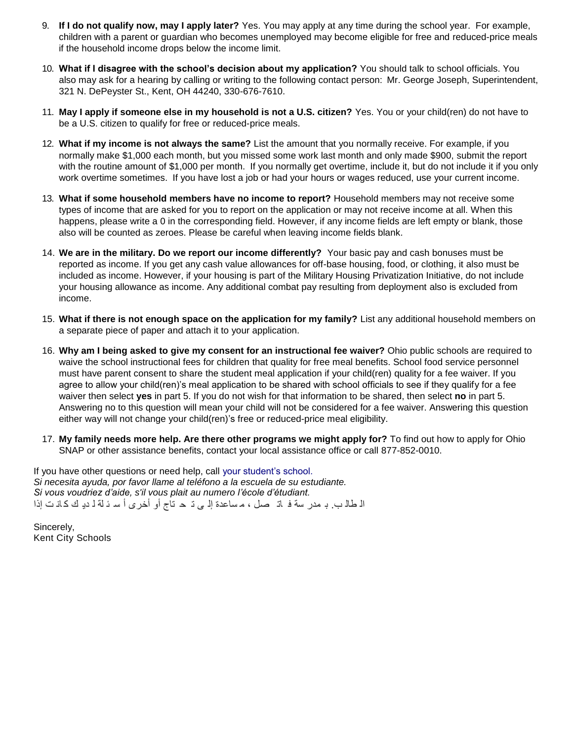- 9. **If I do not qualify now, may I apply later?** Yes. You may apply at any time during the school year. For example, children with a parent or guardian who becomes unemployed may become eligible for free and reduced-price meals if the household income drops below the income limit.
- 10. **What if I disagree with the school's decision about my application?** You should talk to school officials. You also may ask for a hearing by calling or writing to the following contact person: Mr. George Joseph, Superintendent, 321 N. DePeyster St., Kent, OH 44240, 330-676-7610.
- 11. **May I apply if someone else in my household is not a U.S. citizen?** Yes. You or your child(ren) do not have to be a U.S. citizen to qualify for free or reduced-price meals.
- 12. **What if my income is not always the same?** List the amount that you normally receive. For example, if you normally make \$1,000 each month, but you missed some work last month and only made \$900, submit the report with the routine amount of \$1,000 per month. If you normally get overtime, include it, but do not include it if you only work overtime sometimes. If you have lost a job or had your hours or wages reduced, use your current income.
- 13. **What if some household members have no income to report?** Household members may not receive some types of income that are asked for you to report on the application or may not receive income at all. When this happens, please write a 0 in the corresponding field. However, if any income fields are left empty or blank, those also will be counted as zeroes. Please be careful when leaving income fields blank.
- 14. **We are in the military. Do we report our income differently?** Your basic pay and cash bonuses must be reported as income. If you get any cash value allowances for off-base housing, food, or clothing, it also must be included as income. However, if your housing is part of the Military Housing Privatization Initiative, do not include your housing allowance as income. Any additional combat pay resulting from deployment also is excluded from income.
- 15. **What if there is not enough space on the application for my family?** List any additional household members on a separate piece of paper and attach it to your application.
- 16. **Why am I being asked to give my consent for an instructional fee waiver?** Ohio public schools are required to waive the school instructional fees for children that quality for free meal benefits. School food service personnel must have parent consent to share the student meal application if your child(ren) quality for a fee waiver. If you agree to allow your child(ren)'s meal application to be shared with school officials to see if they qualify for a fee waiver then select **yes** in part 5. If you do not wish for that information to be shared, then select **no** in part 5. Answering no to this question will mean your child will not be considered for a fee waiver. Answering this question either way will not change your child(ren)'s free or reduced-price meal eligibility.
- 17. **My family needs more help. Are there other programs we might apply for?** To find out how to apply for Ohio SNAP or other assistance benefits, contact your local assistance office or call 877-852-0010.

If you have other questions or need help, call your student's school. *Si necesita ayuda, por favor llame al teléfono a la escuela de su estudiante. Si vous voudriez d'aide, s'il vous plait au numero l'école d'étudiant.* ال طال ب. ب مدر سة ف ات صل ، م ساعدة إل ى ت ح تاج أو أخرى أ س ئ لة ل دي ك كان ت إذا

Sincerely, Kent City Schools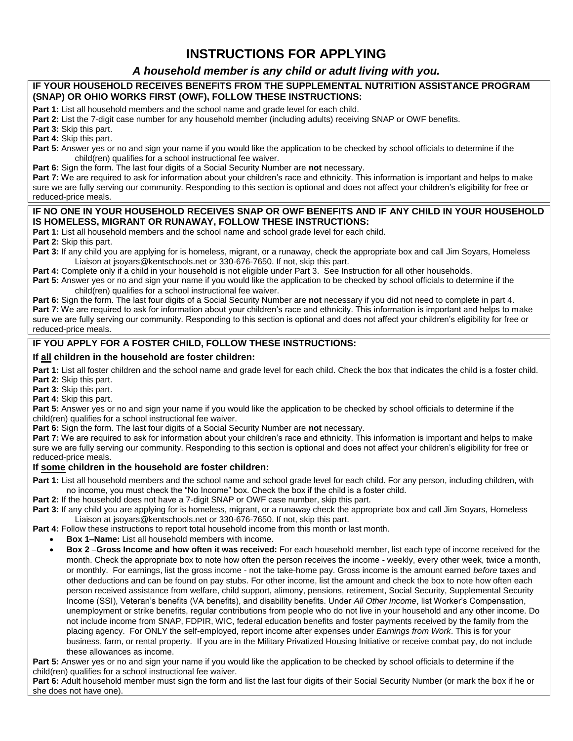## **INSTRUCTIONS FOR APPLYING**

### *A household member is any child or adult living with you.*

### **IF YOUR HOUSEHOLD RECEIVES BENEFITS FROM THE SUPPLEMENTAL NUTRITION ASSISTANCE PROGRAM (SNAP) OR OHIO WORKS FIRST (OWF), FOLLOW THESE INSTRUCTIONS:**

**Part 1:** List all household members and the school name and grade level for each child.

**Part 2:** List the 7-digit case number for any household member (including adults) receiving SNAP or OWF benefits.

**Part 3:** Skip this part.

**Part 4:** Skip this part.

**Part 5:** Answer yes or no and sign your name if you would like the application to be checked by school officials to determine if the child(ren) qualifies for a school instructional fee waiver.

**Part 6:** Sign the form. The last four digits of a Social Security Number are **not** necessary.

**Part 7:** We are required to ask for information about your children's race and ethnicity. This information is important and helps to make sure we are fully serving our community. Responding to this section is optional and does not affect your children's eligibility for free or reduced-price meals.

### **IF NO ONE IN YOUR HOUSEHOLD RECEIVES SNAP OR OWF BENEFITS AND IF ANY CHILD IN YOUR HOUSEHOLD IS HOMELESS, MIGRANT OR RUNAWAY, FOLLOW THESE INSTRUCTIONS:**

**Part 1:** List all household members and the school name and school grade level for each child.

**Part 2:** Skip this part.

**Part 3:** If any child you are applying for is homeless, migrant, or a runaway, check the appropriate box and call Jim Soyars, Homeless Liaison at jsoyars@kentschools.net or 330-676-7650. If not, skip this part.

**Part 4:** Complete only if a child in your household is not eligible under Part 3. See Instruction for all other households.

**Part 5:** Answer yes or no and sign your name if you would like the application to be checked by school officials to determine if the child(ren) qualifies for a school instructional fee waiver.

**Part 6:** Sign the form. The last four digits of a Social Security Number are **not** necessary if you did not need to complete in part 4. Part 7: We are required to ask for information about your children's race and ethnicity. This information is important and helps to make sure we are fully serving our community. Responding to this section is optional and does not affect your children's eligibility for free or reduced-price meals.

### **IF YOU APPLY FOR A FOSTER CHILD, FOLLOW THESE INSTRUCTIONS:**

### **If all children in the household are foster children:**

Part 1: List all foster children and the school name and grade level for each child. Check the box that indicates the child is a foster child. **Part 2:** Skip this part.

**Part 3:** Skip this part.

**Part 4:** Skip this part.

**Part 5:** Answer yes or no and sign your name if you would like the application to be checked by school officials to determine if the child(ren) qualifies for a school instructional fee waiver.

**Part 6:** Sign the form. The last four digits of a Social Security Number are **not** necessary.

**Part 7:** We are required to ask for information about your children's race and ethnicity. This information is important and helps to make sure we are fully serving our community. Responding to this section is optional and does not affect your children's eligibility for free or reduced-price meals.

### **If some children in the household are foster children:**

**Part 1:** List all household members and the school name and school grade level for each child. For any person, including children, with no income, you must check the "No Income" box. Check the box if the child is a foster child.

Part 2: If the household does not have a 7-digit SNAP or OWF case number, skip this part.

**Part 3:** If any child you are applying for is homeless, migrant, or a runaway check the appropriate box and call Jim Soyars, Homeless Liaison at jsoyars@kentschools.net or 330-676-7650. If not, skip this part.

**Part 4:** Follow these instructions to report total household income from this month or last month.

- **Box 1–Name:** List all household members with income.
- **Box 2** –**Gross Income and how often it was received:** For each household member, list each type of income received for the month. Check the appropriate box to note how often the person receives the income - weekly, every other week, twice a month, or monthly. For earnings, list the gross income - not the take-home pay. Gross income is the amount earned *before* taxes and other deductions and can be found on pay stubs. For other income, list the amount and check the box to note how often each person received assistance from welfare, child support, alimony, pensions, retirement, Social Security, Supplemental Security Income (SSI), Veteran's benefits (VA benefits), and disability benefits. Under *All Other Income*, list Worker's Compensation, unemployment or strike benefits, regular contributions from people who do not live in your household and any other income. Do not include income from SNAP, FDPIR, WIC, federal education benefits and foster payments received by the family from the placing agency. For ONLY the self-employed, report income after expenses under *Earnings from Work*. This is for your business, farm, or rental property. If you are in the Military Privatized Housing Initiative or receive combat pay, do not include these allowances as income.

**Part 5:** Answer yes or no and sign your name if you would like the application to be checked by school officials to determine if the child(ren) qualifies for a school instructional fee waiver.

**Part 6:** Adult household member must sign the form and list the last four digits of their Social Security Number (or mark the box if he or she does not have one).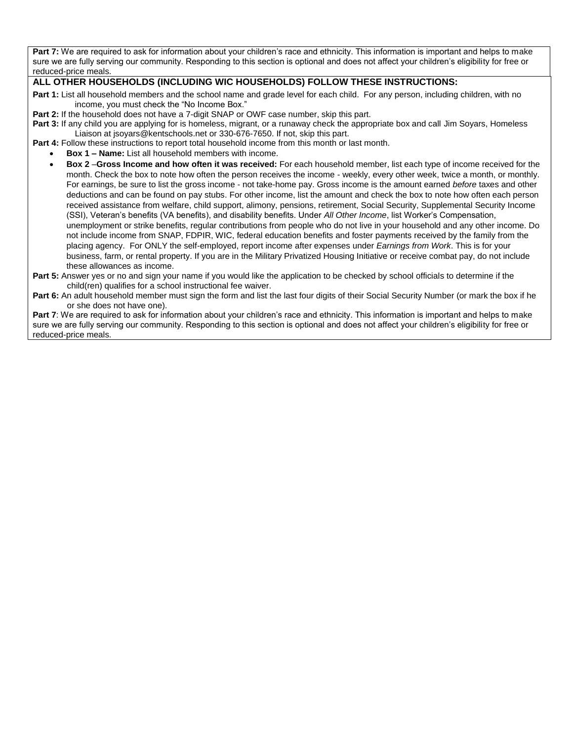Part 7: We are required to ask for information about your children's race and ethnicity. This information is important and helps to make sure we are fully serving our community. Responding to this section is optional and does not affect your children's eligibility for free or reduced-price meals.

### **ALL OTHER HOUSEHOLDS (INCLUDING WIC HOUSEHOLDS) FOLLOW THESE INSTRUCTIONS:**

- **Part 1:** List all household members and the school name and grade level for each child. For any person, including children, with no income, you must check the "No Income Box."
- **Part 2:** If the household does not have a 7-digit SNAP or OWF case number, skip this part.
- **Part 3:** If any child you are applying for is homeless, migrant, or a runaway check the appropriate box and call Jim Soyars, Homeless Liaison at jsoyars@kentschools.net or 330-676-7650. If not, skip this part.
- **Part 4:** Follow these instructions to report total household income from this month or last month.
	- **Box 1 – Name:** List all household members with income.
	- **Box 2** –**Gross Income and how often it was received:** For each household member, list each type of income received for the month. Check the box to note how often the person receives the income - weekly, every other week, twice a month, or monthly. For earnings, be sure to list the gross income - not take-home pay. Gross income is the amount earned *before* taxes and other deductions and can be found on pay stubs. For other income, list the amount and check the box to note how often each person received assistance from welfare, child support, alimony, pensions, retirement, Social Security, Supplemental Security Income (SSI), Veteran's benefits (VA benefits), and disability benefits. Under *All Other Income*, list Worker's Compensation, unemployment or strike benefits, regular contributions from people who do not live in your household and any other income. Do not include income from SNAP, FDPIR, WIC, federal education benefits and foster payments received by the family from the placing agency. For ONLY the self-employed, report income after expenses under *Earnings from Work*. This is for your business, farm, or rental property. If you are in the Military Privatized Housing Initiative or receive combat pay, do not include these allowances as income.
- **Part 5:** Answer yes or no and sign your name if you would like the application to be checked by school officials to determine if the child(ren) qualifies for a school instructional fee waiver.
- **Part 6:** An adult household member must sign the form and list the last four digits of their Social Security Number (or mark the box if he or she does not have one).

**Part 7**: We are required to ask for information about your children's race and ethnicity. This information is important and helps to make sure we are fully serving our community. Responding to this section is optional and does not affect your children's eligibility for free or reduced-price meals.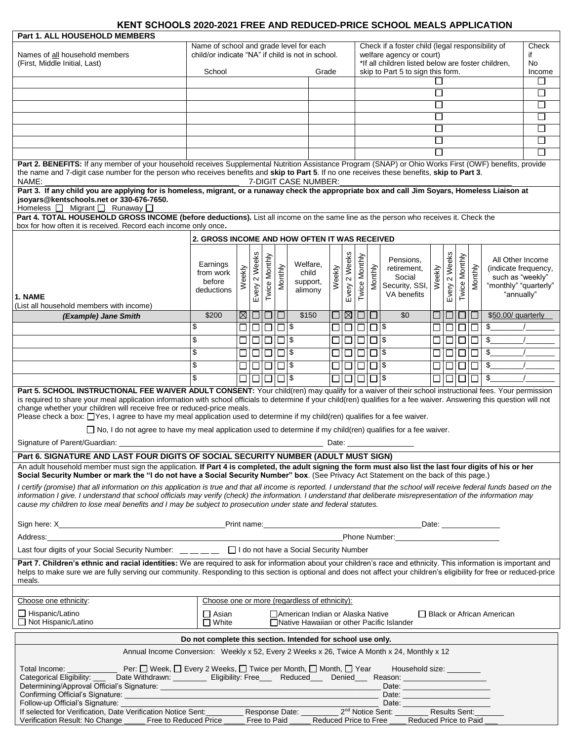### **KENT SCHOOLS 2020-2021 FREE AND REDUCED-PRICE SCHOOL MEALS APPLICATION**

| Part 1. ALL HOUSEHOLD MEMBERS                                                                                                                                                                                                                                                                                                    |                                                                                                                                                         |        |               |               |                                                                            |        |                                  |        |                                                                              |               |           |                                                    |              |               |               |         |                                          |          |
|----------------------------------------------------------------------------------------------------------------------------------------------------------------------------------------------------------------------------------------------------------------------------------------------------------------------------------|---------------------------------------------------------------------------------------------------------------------------------------------------------|--------|---------------|---------------|----------------------------------------------------------------------------|--------|----------------------------------|--------|------------------------------------------------------------------------------|---------------|-----------|----------------------------------------------------|--------------|---------------|---------------|---------|------------------------------------------|----------|
|                                                                                                                                                                                                                                                                                                                                  | Name of school and grade level for each                                                                                                                 |        |               |               |                                                                            |        |                                  |        | Check if a foster child (legal responsibility of<br>welfare agency or court) |               |           |                                                    |              |               | Check         |         |                                          |          |
| Names of all household members<br>(First, Middle Initial, Last)                                                                                                                                                                                                                                                                  | child/or indicate "NA" if child is not in school.                                                                                                       |        |               |               |                                                                            |        |                                  |        |                                                                              |               |           | *If all children listed below are foster children, |              |               |               |         |                                          | if<br>No |
|                                                                                                                                                                                                                                                                                                                                  | School                                                                                                                                                  |        |               |               |                                                                            |        | Grade                            |        |                                                                              |               |           | skip to Part 5 to sign this form.                  |              |               |               |         |                                          | Income   |
|                                                                                                                                                                                                                                                                                                                                  |                                                                                                                                                         |        |               |               |                                                                            |        |                                  |        |                                                                              |               |           |                                                    |              |               |               |         |                                          |          |
|                                                                                                                                                                                                                                                                                                                                  |                                                                                                                                                         |        |               |               |                                                                            |        |                                  |        |                                                                              |               |           |                                                    | $\mathbb{Z}$ |               |               |         |                                          | $\Box$   |
|                                                                                                                                                                                                                                                                                                                                  |                                                                                                                                                         |        |               |               |                                                                            |        |                                  |        |                                                                              |               |           |                                                    | □            |               |               |         |                                          | □        |
|                                                                                                                                                                                                                                                                                                                                  |                                                                                                                                                         |        |               |               |                                                                            |        |                                  |        |                                                                              |               |           |                                                    | □            |               |               |         |                                          | □        |
|                                                                                                                                                                                                                                                                                                                                  |                                                                                                                                                         |        |               |               |                                                                            |        |                                  |        |                                                                              | ⊔             |           |                                                    |              |               | $\Box$        |         |                                          |          |
|                                                                                                                                                                                                                                                                                                                                  |                                                                                                                                                         |        |               |               |                                                                            |        |                                  |        |                                                                              | ப             |           |                                                    |              |               |               | □       |                                          |          |
|                                                                                                                                                                                                                                                                                                                                  |                                                                                                                                                         |        |               |               |                                                                            |        |                                  |        |                                                                              |               |           |                                                    |              |               |               |         |                                          | П        |
|                                                                                                                                                                                                                                                                                                                                  | Part 2. BENEFITS: If any member of your household receives Supplemental Nutrition Assistance Program (SNAP) or Ohio Works First (OWF) benefits, provide |        |               |               |                                                                            |        |                                  |        |                                                                              |               |           |                                                    |              |               |               |         |                                          |          |
| the name and 7-digit case number for the person who receives benefits and skip to Part 5. If no one receives these benefits, skip to Part 3.<br>NAME:<br>7-DIGIT CASE NUMBER:                                                                                                                                                    |                                                                                                                                                         |        |               |               |                                                                            |        |                                  |        |                                                                              |               |           |                                                    |              |               |               |         |                                          |          |
| Part 3. If any child you are applying for is homeless, migrant, or a runaway check the appropriate box and call Jim Soyars, Homeless Liaison at                                                                                                                                                                                  |                                                                                                                                                         |        |               |               |                                                                            |        |                                  |        |                                                                              |               |           |                                                    |              |               |               |         |                                          |          |
| jsoyars@kentschools.net or 330-676-7650.<br>Homeless □ Migrant □ Runaway □                                                                                                                                                                                                                                                       |                                                                                                                                                         |        |               |               |                                                                            |        |                                  |        |                                                                              |               |           |                                                    |              |               |               |         |                                          |          |
| Part 4. TOTAL HOUSEHOLD GROSS INCOME (before deductions). List all income on the same line as the person who receives it. Check the                                                                                                                                                                                              |                                                                                                                                                         |        |               |               |                                                                            |        |                                  |        |                                                                              |               |           |                                                    |              |               |               |         |                                          |          |
| box for how often it is received. Record each income only once.                                                                                                                                                                                                                                                                  |                                                                                                                                                         |        |               |               |                                                                            |        |                                  |        |                                                                              |               |           |                                                    |              |               |               |         |                                          |          |
|                                                                                                                                                                                                                                                                                                                                  | 2. GROSS INCOME AND HOW OFTEN IT WAS RECEIVED                                                                                                           |        |               |               |                                                                            |        |                                  |        |                                                                              |               |           |                                                    |              |               |               |         |                                          |          |
|                                                                                                                                                                                                                                                                                                                                  |                                                                                                                                                         |        |               |               |                                                                            |        |                                  |        |                                                                              |               |           |                                                    |              |               |               |         |                                          |          |
|                                                                                                                                                                                                                                                                                                                                  | Earnings                                                                                                                                                |        |               |               |                                                                            |        | Welfare,                         |        |                                                                              |               |           | Pensions.                                          |              |               |               |         | All Other Income                         |          |
|                                                                                                                                                                                                                                                                                                                                  | from work                                                                                                                                               | Weekly | Every 2 Weeks | Twice Monthly | Monthly                                                                    |        | child                            | Weekly | 2 Weeks                                                                      | Twice Monthly | Monthly   | retirement,                                        | Weekly       | Every 2 Weeks | Twice Monthly | Monthly | (indicate frequency,<br>such as "weekly" |          |
|                                                                                                                                                                                                                                                                                                                                  | before                                                                                                                                                  |        |               |               |                                                                            |        | support,                         |        |                                                                              |               |           | Social<br>Security, SSI,                           |              |               |               |         | "monthly" "quarterly"                    |          |
| 1. NAME                                                                                                                                                                                                                                                                                                                          | deductions                                                                                                                                              |        |               |               |                                                                            |        | alimony                          |        | Every                                                                        |               |           | VA benefits                                        |              |               |               |         | "annually"                               |          |
| (List all household members with income)                                                                                                                                                                                                                                                                                         |                                                                                                                                                         |        |               |               |                                                                            |        |                                  |        |                                                                              |               |           |                                                    |              |               |               |         |                                          |          |
| (Example) Jane Smith                                                                                                                                                                                                                                                                                                             | \$200                                                                                                                                                   |        | ⊠∣□∣□         |               | $\Box$                                                                     |        | \$150                            |        | $\boxtimes$                                                                  |               | பப        | \$0                                                |              | □             |               | 10 I O  | \$50.00/ quarterly                       |          |
|                                                                                                                                                                                                                                                                                                                                  | \$                                                                                                                                                      | $\Box$ |               |               | $\begin{array}{c} \square \square \square \blacktriangleright \end{array}$ |        |                                  |        |                                                                              |               |           |                                                    |              |               |               | ननग०    | \$                                       |          |
|                                                                                                                                                                                                                                                                                                                                  | \$                                                                                                                                                      | $\Box$ |               |               | $\Box$ $\Box$ $\Box$                                                       |        |                                  |        |                                                                              |               |           |                                                    |              |               |               | 0000    | \$                                       |          |
|                                                                                                                                                                                                                                                                                                                                  | \$                                                                                                                                                      | $\Box$ |               |               | $\Box$ $\Box$ $\Box$                                                       |        |                                  | $\Box$ | $\Box$                                                                       | $\Box$        | $\Box$ s  |                                                    |              | 000           |               | $\Box$  | \$                                       |          |
|                                                                                                                                                                                                                                                                                                                                  | \$                                                                                                                                                      | □      | $\Box$        | □             |                                                                            | $\Box$ |                                  |        | □                                                                            | □             | $\Box$ \$ |                                                    | ப            | $\Box$        | ▯▢            | □       | \$                                       |          |
|                                                                                                                                                                                                                                                                                                                                  | \$                                                                                                                                                      |        |               |               |                                                                            |        |                                  |        |                                                                              |               |           |                                                    |              |               |               |         |                                          |          |
|                                                                                                                                                                                                                                                                                                                                  |                                                                                                                                                         |        |               |               |                                                                            |        |                                  |        |                                                                              |               |           |                                                    |              |               |               | 0000    | \$                                       |          |
| Part 5. SCHOOL INSTRUCTIONAL FEE WAIVER ADULT CONSENT: Your child(ren) may qualify for a waiver of their school instructional fees. Your permission<br>is required to share your meal application information with school officials to determine if your child(ren) qualifies for a fee waiver. Answering this question will not |                                                                                                                                                         |        |               |               |                                                                            |        |                                  |        |                                                                              |               |           |                                                    |              |               |               |         |                                          |          |
| change whether your children will receive free or reduced-price meals.                                                                                                                                                                                                                                                           |                                                                                                                                                         |        |               |               |                                                                            |        |                                  |        |                                                                              |               |           |                                                    |              |               |               |         |                                          |          |
| Please check a box: Ves, I agree to have my meal application used to determine if my child(ren) qualifies for a fee waiver.                                                                                                                                                                                                      |                                                                                                                                                         |        |               |               |                                                                            |        |                                  |        |                                                                              |               |           |                                                    |              |               |               |         |                                          |          |
| $\Box$ No, I do not agree to have my meal application used to determine if my child(ren) qualifies for a fee waiver.                                                                                                                                                                                                             |                                                                                                                                                         |        |               |               |                                                                            |        |                                  |        |                                                                              |               |           |                                                    |              |               |               |         |                                          |          |
| Signature of Parent/Guardian:                                                                                                                                                                                                                                                                                                    |                                                                                                                                                         |        |               |               |                                                                            |        |                                  | Date:  |                                                                              |               |           |                                                    |              |               |               |         |                                          |          |
| Part 6. SIGNATURE AND LAST FOUR DIGITS OF SOCIAL SECURITY NUMBER (ADULT MUST SIGN)                                                                                                                                                                                                                                               |                                                                                                                                                         |        |               |               |                                                                            |        |                                  |        |                                                                              |               |           |                                                    |              |               |               |         |                                          |          |
| An adult household member must sign the application. If Part 4 is completed, the adult signing the form must also list the last four digits of his or her                                                                                                                                                                        |                                                                                                                                                         |        |               |               |                                                                            |        |                                  |        |                                                                              |               |           |                                                    |              |               |               |         |                                          |          |
| Social Security Number or mark the "I do not have a Social Security Number" box. (See Privacy Act Statement on the back of this page.)                                                                                                                                                                                           |                                                                                                                                                         |        |               |               |                                                                            |        |                                  |        |                                                                              |               |           |                                                    |              |               |               |         |                                          |          |
| I certify (promise) that all information on this application is true and that all income is reported. I understand that the school will receive federal funds based on the                                                                                                                                                       |                                                                                                                                                         |        |               |               |                                                                            |        |                                  |        |                                                                              |               |           |                                                    |              |               |               |         |                                          |          |
| information I give. I understand that school officials may verify (check) the information. I understand that deliberate misrepresentation of the information may                                                                                                                                                                 |                                                                                                                                                         |        |               |               |                                                                            |        |                                  |        |                                                                              |               |           |                                                    |              |               |               |         |                                          |          |
| cause my children to lose meal benefits and I may be subject to prosecution under state and federal statutes.                                                                                                                                                                                                                    |                                                                                                                                                         |        |               |               |                                                                            |        |                                  |        |                                                                              |               |           |                                                    |              |               |               |         |                                          |          |
|                                                                                                                                                                                                                                                                                                                                  |                                                                                                                                                         |        |               |               |                                                                            |        |                                  |        |                                                                              |               |           |                                                    |              |               |               |         |                                          |          |
|                                                                                                                                                                                                                                                                                                                                  |                                                                                                                                                         |        |               |               |                                                                            |        |                                  |        |                                                                              |               |           |                                                    |              |               |               |         |                                          |          |
| Address:                                                                                                                                                                                                                                                                                                                         |                                                                                                                                                         |        |               |               |                                                                            |        |                                  |        |                                                                              |               |           | Phone Number: _______________________              |              |               |               |         |                                          |          |
| Last four digits of your Social Security Number: _ _ _ _ _ _ _ _ D I do not have a Social Security Number                                                                                                                                                                                                                        |                                                                                                                                                         |        |               |               |                                                                            |        |                                  |        |                                                                              |               |           |                                                    |              |               |               |         |                                          |          |
| Part 7. Children's ethnic and racial identities: We are required to ask for information about your children's race and ethnicity. This information is important and                                                                                                                                                              |                                                                                                                                                         |        |               |               |                                                                            |        |                                  |        |                                                                              |               |           |                                                    |              |               |               |         |                                          |          |
| helps to make sure we are fully serving our community. Responding to this section is optional and does not affect your children's eligibility for free or reduced-price                                                                                                                                                          |                                                                                                                                                         |        |               |               |                                                                            |        |                                  |        |                                                                              |               |           |                                                    |              |               |               |         |                                          |          |
| meals.                                                                                                                                                                                                                                                                                                                           |                                                                                                                                                         |        |               |               |                                                                            |        |                                  |        |                                                                              |               |           |                                                    |              |               |               |         |                                          |          |
| Choose one ethnicity:                                                                                                                                                                                                                                                                                                            | Choose one or more (regardless of ethnicity):                                                                                                           |        |               |               |                                                                            |        |                                  |        |                                                                              |               |           |                                                    |              |               |               |         |                                          |          |
|                                                                                                                                                                                                                                                                                                                                  |                                                                                                                                                         |        |               |               |                                                                            |        |                                  |        |                                                                              |               |           |                                                    |              |               |               |         |                                          |          |
| □ Hispanic/Latino<br>Not Hispanic/Latino                                                                                                                                                                                                                                                                                         | □ Asian<br>$\Box$ White                                                                                                                                 |        |               |               |                                                                            |        | American Indian or Alaska Native |        |                                                                              |               |           |                                                    |              |               |               |         | □ Black or African American              |          |
| □ Native Hawaiian or other Pacific Islander                                                                                                                                                                                                                                                                                      |                                                                                                                                                         |        |               |               |                                                                            |        |                                  |        |                                                                              |               |           |                                                    |              |               |               |         |                                          |          |
| Do not complete this section. Intended for school use only.                                                                                                                                                                                                                                                                      |                                                                                                                                                         |        |               |               |                                                                            |        |                                  |        |                                                                              |               |           |                                                    |              |               |               |         |                                          |          |
| Annual Income Conversion: Weekly x 52, Every 2 Weeks x 26, Twice A Month x 24, Monthly x 12                                                                                                                                                                                                                                      |                                                                                                                                                         |        |               |               |                                                                            |        |                                  |        |                                                                              |               |           |                                                    |              |               |               |         |                                          |          |
|                                                                                                                                                                                                                                                                                                                                  |                                                                                                                                                         |        |               |               |                                                                            |        |                                  |        |                                                                              |               |           |                                                    |              |               |               |         |                                          |          |
| Total Income: _____________<br>Per: $\Box$ Week, $\Box$ Every 2 Weeks, $\Box$ Twice per Month, $\Box$ Month, $\Box$ Year<br>Household size: Nousehold<br>Categorical Eligibility: ____ Date Withdrawn: _________ Eligibility: Free___ Reduced___ Denied___ Reason: _______________                                               |                                                                                                                                                         |        |               |               |                                                                            |        |                                  |        |                                                                              |               |           |                                                    |              |               |               |         |                                          |          |
|                                                                                                                                                                                                                                                                                                                                  |                                                                                                                                                         |        |               |               |                                                                            |        |                                  |        |                                                                              |               |           |                                                    |              |               |               |         |                                          |          |
|                                                                                                                                                                                                                                                                                                                                  |                                                                                                                                                         |        |               |               |                                                                            |        |                                  |        |                                                                              |               |           | Date: __________________                           |              |               |               |         |                                          |          |
| Follow-up Official's Signature:<br>If selected for Verification, Date Verification Notice Sent: Response Date: 2 <sup>nd</sup> Notice Sent: Results Sent:                                                                                                                                                                        |                                                                                                                                                         |        |               |               |                                                                            |        |                                  |        | <u> Tanah Indone</u>                                                         |               |           | Date: ______________________                       |              |               |               |         |                                          |          |
| Verification Result: No Change ______ Free to Reduced Price _____ Free to Paid _____                                                                                                                                                                                                                                             |                                                                                                                                                         |        |               |               |                                                                            |        |                                  |        |                                                                              |               |           | Reduced Price to Free ____ Reduced Price to Paid   |              |               |               |         |                                          |          |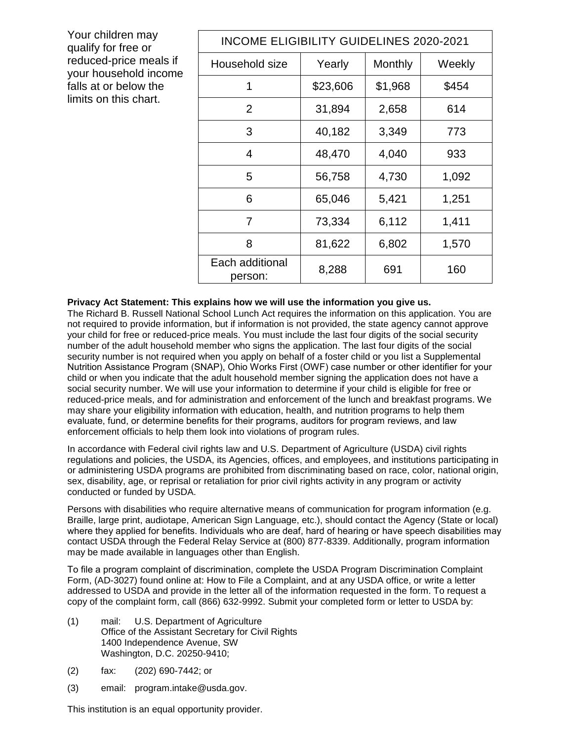Your children may qualify for free or reduced-price meals if your household income falls at or below the limits on this chart.

| <b>INCOME ELIGIBILITY GUIDELINES 2020-2021</b> |          |         |        |  |  |  |  |  |  |  |  |
|------------------------------------------------|----------|---------|--------|--|--|--|--|--|--|--|--|
| Household size                                 | Yearly   | Monthly | Weekly |  |  |  |  |  |  |  |  |
| 1                                              | \$23,606 | \$1,968 | \$454  |  |  |  |  |  |  |  |  |
| 2                                              | 31,894   | 614     |        |  |  |  |  |  |  |  |  |
| 3                                              | 40,182   | 3,349   | 773    |  |  |  |  |  |  |  |  |
| 4                                              | 48,470   | 4,040   | 933    |  |  |  |  |  |  |  |  |
| 5                                              | 56,758   | 4,730   | 1,092  |  |  |  |  |  |  |  |  |
| 6                                              | 65,046   | 5,421   | 1,251  |  |  |  |  |  |  |  |  |
| 7                                              | 73,334   | 6,112   | 1,411  |  |  |  |  |  |  |  |  |
| 8                                              | 81,622   | 6,802   | 1,570  |  |  |  |  |  |  |  |  |
| Each additional<br>person:                     | 8,288    | 691     | 160    |  |  |  |  |  |  |  |  |

### **Privacy Act Statement: This explains how we will use the information you give us.**

The Richard B. Russell National School Lunch Act requires the information on this application. You are not required to provide information, but if information is not provided, the state agency cannot approve your child for free or reduced-price meals. You must include the last four digits of the social security number of the adult household member who signs the application. The last four digits of the social security number is not required when you apply on behalf of a foster child or you list a Supplemental Nutrition Assistance Program (SNAP), Ohio Works First (OWF) case number or other identifier for your child or when you indicate that the adult household member signing the application does not have a social security number. We will use your information to determine if your child is eligible for free or reduced-price meals, and for administration and enforcement of the lunch and breakfast programs. We may share your eligibility information with education, health, and nutrition programs to help them evaluate, fund, or determine benefits for their programs, auditors for program reviews, and law enforcement officials to help them look into violations of program rules.

In accordance with Federal civil rights law and U.S. Department of Agriculture (USDA) civil rights regulations and policies, the USDA, its Agencies, offices, and employees, and institutions participating in or administering USDA programs are prohibited from discriminating based on race, color, national origin, sex, disability, age, or reprisal or retaliation for prior civil rights activity in any program or activity conducted or funded by USDA.

Persons with disabilities who require alternative means of communication for program information (e.g. Braille, large print, audiotape, American Sign Language, etc.), should contact the Agency (State or local) where they applied for benefits. Individuals who are deaf, hard of hearing or have speech disabilities may contact USDA through the Federal Relay Service at (800) 877-8339. Additionally, program information may be made available in languages other than English.

To file a program complaint of discrimination, complete the [USDA Program Discrimination Complaint](http://www.ocio.usda.gov/sites/default/files/docs/2012/Complain_combined_6_8_12.pdf)  [Form,](http://www.ocio.usda.gov/sites/default/files/docs/2012/Complain_combined_6_8_12.pdf) (AD-3027) found online at: [How to File a Complaint,](http://www.ascr.usda.gov/complaint_filing_cust.html) and at any USDA office, or write a letter addressed to USDA and provide in the letter all of the information requested in the form. To request a copy of the complaint form, call (866) 632-9992. Submit your completed form or letter to USDA by:

- (1) mail: U.S. Department of Agriculture Office of the Assistant Secretary for Civil Rights 1400 Independence Avenue, SW Washington, D.C. 20250-9410;
- (2) fax: (202) 690-7442; or
- (3) email: [program.intake@usda.gov.](http://sharepoint/daqs/csseo/ocn/Communications/Internal%20Review/CRRS%20SNP%20Download%20Forms/program.intake@usda.gov)

This institution is an equal opportunity provider.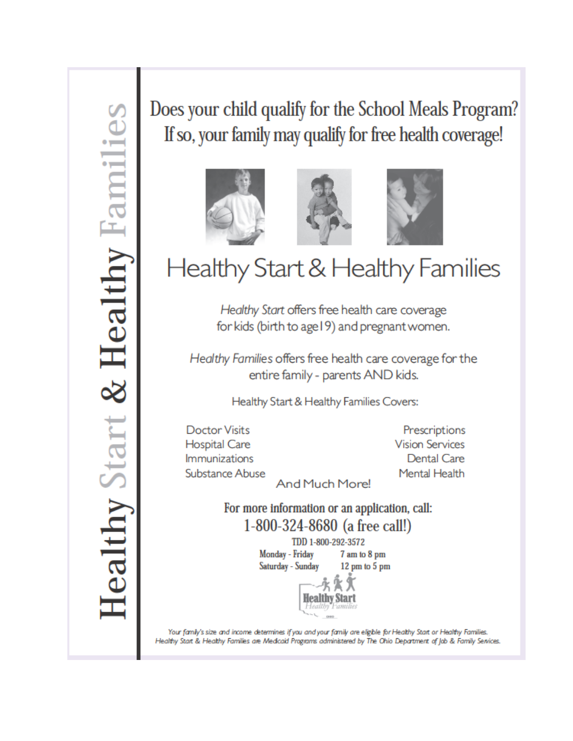# Healthy Start & Healthy Families

Does your child qualify for the School Meals Program? If so, your family may qualify for free health coverage!



# Healthy Start & Healthy Families

Healthy Start offers free health care coverage for kids (birth to age I9) and pregnant women.

Healthy Families offers free health care coverage for the entire family - parents AND kids.

Healthy Start & Healthy Families Covers:

**Doctor Visits Hospital Care** Immunizations Substance Abuse

Prescriptions **Vision Services Dental Care** Mental Health

For more information or an application, call: 1-800-324-8680 (a free call!)

**And Much More!** 

TDD 1-800-292-3572 Monday - Friday 7 am to 8 pm Saturday - Sunday 12 pm to 5 pm

Your family's size and income determines if you and your family are eligible for Healthy Start or Healthy Families. Healthy Start & Healthy Families are Medicaid Programs administered by The Ohio Department of Job & Family Services.